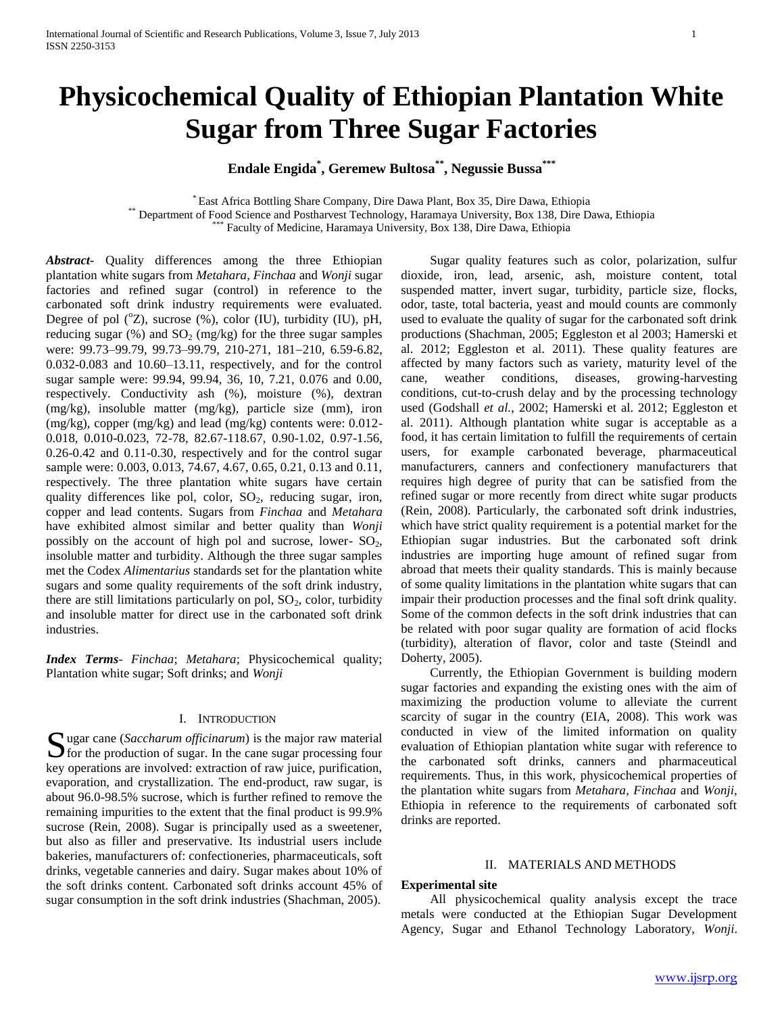# **Physicochemical Quality of Ethiopian Plantation White Sugar from Three Sugar Factories**

# **Endale Engida\* , Geremew Bultosa\*\* , Negussie Bussa\*\*\***

\* East Africa Bottling Share Company, Dire Dawa Plant, Box 35, Dire Dawa, Ethiopia \*\* Department of Food Science and Postharvest Technology, Haramaya University, Box 138, Dire Dawa, Ethiopia \*\*\* Faculty of Medicine, Haramaya University, Box 138, Dire Dawa, Ethiopia

*Abstract***-** Quality differences among the three Ethiopian plantation white sugars from *Metahara*, *Finchaa* and *Wonji* sugar factories and refined sugar (control) in reference to the carbonated soft drink industry requirements were evaluated. Degree of pol  $({}^{\circ}Z)$ , sucrose  $({}^{\circ}\!\!\delta)$ , color (IU), turbidity (IU), pH, reducing sugar (%) and  $SO_2$  (mg/kg) for the three sugar samples were: 99.73-99.79, 99.73-99.79, 210-271, 181-210, 6.59-6.82, 0.032-0.083 and 10.60–13.11, respectively, and for the control sugar sample were: 99.94, 99.94, 36, 10, 7.21, 0.076 and 0.00, respectively. Conductivity ash (%), moisture (%), dextran (mg/kg), insoluble matter (mg/kg), particle size (mm), iron (mg/kg), copper (mg/kg) and lead (mg/kg) contents were: 0.012- 0.018, 0.010-0.023, 72-78, 82.67-118.67, 0.90-1.02, 0.97-1.56, 0.26-0.42 and 0.11-0.30, respectively and for the control sugar sample were: 0.003, 0.013, 74.67, 4.67, 0.65, 0.21, 0.13 and 0.11, respectively. The three plantation white sugars have certain quality differences like pol, color,  $SO_2$ , reducing sugar, iron, copper and lead contents. Sugars from *Finchaa* and *Metahara*  have exhibited almost similar and better quality than *Wonji*  possibly on the account of high pol and sucrose, lower-  $SO_2$ , insoluble matter and turbidity. Although the three sugar samples met the Codex *Alimentarius* standards set for the plantation white sugars and some quality requirements of the soft drink industry, there are still limitations particularly on pol,  $SO_2$ , color, turbidity and insoluble matter for direct use in the carbonated soft drink industries.

*Index Terms*- *Finchaa*; *Metahara*; Physicochemical quality; Plantation white sugar; Soft drinks; and *Wonji*

#### I. INTRODUCTION

**S** ugar cane (*Saccharum officinarum*) is the major raw material for the production of sugar. In the cane sugar processing four  $\sum$  for the production of sugar. In the cane sugar processing four key operations are involved: extraction of raw juice, purification, evaporation, and crystallization. The end-product, raw sugar, is about 96.0-98.5% sucrose, which is further refined to remove the remaining impurities to the extent that the final product is 99.9% sucrose (Rein, 2008). Sugar is principally used as a sweetener, but also as filler and preservative. Its industrial users include bakeries, manufacturers of: confectioneries, pharmaceuticals, soft drinks, vegetable canneries and dairy. Sugar makes about 10% of the soft drinks content. Carbonated soft drinks account 45% of sugar consumption in the soft drink industries (Shachman, 2005).

 Sugar quality features such as color, polarization, sulfur dioxide, iron, lead, arsenic, ash, moisture content, total suspended matter, invert sugar, turbidity, particle size, flocks, odor, taste, total bacteria, yeast and mould counts are commonly used to evaluate the quality of sugar for the carbonated soft drink productions (Shachman, 2005; Eggleston et al 2003; Hamerski et al. 2012; Eggleston et al. 2011). These quality features are affected by many factors such as variety, maturity level of the cane, weather conditions, diseases, growing-harvesting conditions, cut-to-crush delay and by the processing technology used (Godshall *et al.*, 2002; Hamerski et al. 2012; Eggleston et al. 2011). Although plantation white sugar is acceptable as a food, it has certain limitation to fulfill the requirements of certain users, for example carbonated beverage, pharmaceutical manufacturers, canners and confectionery manufacturers that requires high degree of purity that can be satisfied from the refined sugar or more recently from direct white sugar products (Rein, 2008). Particularly, the carbonated soft drink industries, which have strict quality requirement is a potential market for the Ethiopian sugar industries. But the carbonated soft drink industries are importing huge amount of refined sugar from abroad that meets their quality standards. This is mainly because of some quality limitations in the plantation white sugars that can impair their production processes and the final soft drink quality. Some of the common defects in the soft drink industries that can be related with poor sugar quality are formation of acid flocks (turbidity), alteration of flavor, color and taste (Steindl and Doherty, 2005).

 Currently, the Ethiopian Government is building modern sugar factories and expanding the existing ones with the aim of maximizing the production volume to alleviate the current scarcity of sugar in the country (EIA, 2008). This work was conducted in view of the limited information on quality evaluation of Ethiopian plantation white sugar with reference to the carbonated soft drinks, canners and pharmaceutical requirements. Thus, in this work, physicochemical properties of the plantation white sugars from *Metahara*, *Finchaa* and *Wonji*, Ethiopia in reference to the requirements of carbonated soft drinks are reported.

#### II. MATERIALS AND METHODS

## **Experimental site**

 All physicochemical quality analysis except the trace metals were conducted at the Ethiopian Sugar Development Agency, Sugar and Ethanol Technology Laboratory, *Wonji*.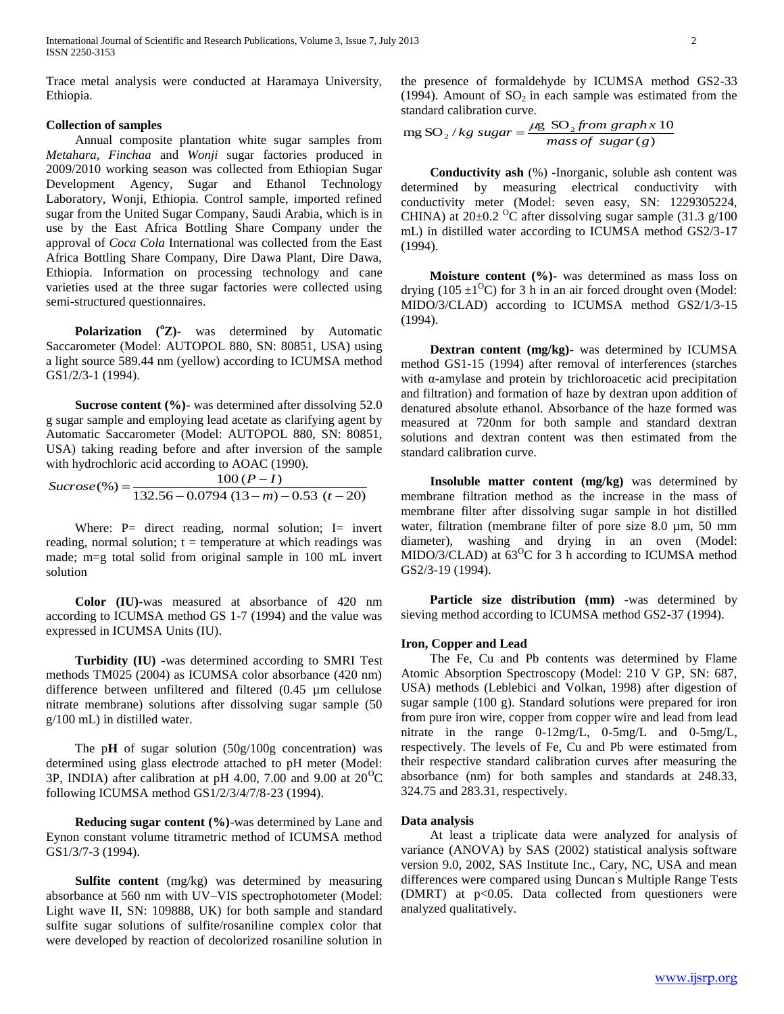International Journal of Scientific and Research Publications, Volume 3, Issue 7, July 2013 2 ISSN 2250-3153

Trace metal analysis were conducted at Haramaya University, Ethiopia.

# **Collection of samples**

 Annual composite plantation white sugar samples from *Metahara, Finchaa* and *Wonji* sugar factories produced in 2009/2010 working season was collected from Ethiopian Sugar Development Agency, Sugar and Ethanol Technology Laboratory, Wonji, Ethiopia. Control sample, imported refined sugar from the United Sugar Company, Saudi Arabia, which is in use by the East Africa Bottling Share Company under the approval of *Coca Cola* International was collected from the East Africa Bottling Share Company, Dire Dawa Plant, Dire Dawa, Ethiopia. Information on processing technology and cane varieties used at the three sugar factories were collected using semi-structured questionnaires.

 **Polarization (<sup>o</sup>Z)-** was determined by Automatic Saccarometer (Model: AUTOPOL 880, SN: 80851, USA) using a light source 589.44 nm (yellow) according to ICUMSA method GS1/2/3-1 (1994).

**Sucrose content (%)**- was determined after dissolving 52.0 g sugar sample and employing lead acetate as clarifying agent by Automatic Saccarometer (Model: AUTOPOL 880, SN: 80851, USA) taking reading before and after inversion of the sample with hydrochloric acid according to AOAC (1990).

$$
Sucrose(\%) = \frac{100 (P - I)}{132.56 - 0.0794 (13 - m) - 0.53 (t - 20)}
$$

Where: P= direct reading, normal solution; I= invert reading, normal solution;  $t =$  temperature at which readings was made; m=g total solid from original sample in 100 mL invert solution

 **Color (IU)-**was measured at absorbance of 420 nm according to ICUMSA method GS 1-7 (1994) and the value was expressed in ICUMSA Units (IU).

 **Turbidity (IU)** -was determined according to SMRI Test methods TM025 (2004) as ICUMSA color absorbance (420 nm) difference between unfiltered and filtered (0.45 µm cellulose nitrate membrane) solutions after dissolving sugar sample (50 g/100 mL) in distilled water.

The pH of sugar solution (50g/100g concentration) was determined using glass electrode attached to pH meter (Model: 3P, INDIA) after calibration at pH 4.00, 7.00 and 9.00 at  $20^{\circ}$ C following ICUMSA method GS1/2/3/4/7/8-23 (1994).

 **Reducing sugar content (%)**-was determined by Lane and Eynon constant volume titrametric method of ICUMSA method GS1/3/7-3 (1994).

 **Sulfite content** (mg/kg) was determined by measuring absorbance at 560 nm with UV–VIS spectrophotometer (Model: Light wave II, SN: 109888, UK) for both sample and standard sulfite sugar solutions of sulfite/rosaniline complex color that were developed by reaction of decolorized rosaniline solution in the presence of formaldehyde by ICUMSA method GS2-33 (1994). Amount of  $SO_2$  in each sample was estimated from the standard calibration curve.

$$
mg SO2/kg sugar = \frac{\mu g SO2 from graph x 10}{mass of sugar(g)}
$$

 **Conductivity ash** (%) -Inorganic, soluble ash content was determined by measuring electrical conductivity with conductivity meter (Model: seven easy, SN: 1229305224, CHINA) at  $20\pm0.2$  <sup>o</sup>C after dissolving sugar sample (31.3 g/100) mL) in distilled water according to ICUMSA method GS2/3-17 (1994).

**Moisture content (%)**- was determined as mass loss on drying (105  $\pm$ 1<sup>o</sup>C) for 3 h in an air forced drought oven (Model: MIDO/3/CLAD) according to ICUMSA method GS2/1/3-15 (1994).

 **Dextran content (mg/kg)**- was determined by ICUMSA method GS1-15 (1994) after removal of interferences (starches with α-amylase and protein by trichloroacetic acid precipitation and filtration) and formation of haze by dextran upon addition of denatured absolute ethanol. Absorbance of the haze formed was measured at 720nm for both sample and standard dextran solutions and dextran content was then estimated from the standard calibration curve.

 **Insoluble matter content (mg/kg)** was determined by membrane filtration method as the increase in the mass of membrane filter after dissolving sugar sample in hot distilled water, filtration (membrane filter of pore size 8.0  $\mu$ m, 50 mm diameter), washing and drying in an oven (Model: MIDO/3/CLAD) at  $63^{\circ}$ C for 3 h according to ICUMSA method GS2/3-19 (1994).

 **Particle size distribution (mm)** -was determined by sieving method according to ICUMSA method GS2-37 (1994).

#### **Iron, Copper and Lead**

 The Fe, Cu and Pb contents was determined by Flame Atomic Absorption Spectroscopy (Model: 210 V GP, SN: 687, USA) methods (Leblebici and Volkan, 1998) after digestion of sugar sample (100 g). Standard solutions were prepared for iron from pure iron wire, copper from copper wire and lead from lead nitrate in the range 0-12mg/L, 0-5mg/L and 0-5mg/L, respectively. The levels of Fe, Cu and Pb were estimated from their respective standard calibration curves after measuring the absorbance (nm) for both samples and standards at 248.33, 324.75 and 283.31, respectively.

#### **Data analysis**

 At least a triplicate data were analyzed for analysis of variance (ANOVA) by SAS (2002) statistical analysis software version 9.0, 2002, SAS Institute Inc., Cary, NC, USA and mean differences were compared using Duncan' s Multiple Range Tests (DMRT) at p<0.05. Data collected from questioners were analyzed qualitatively.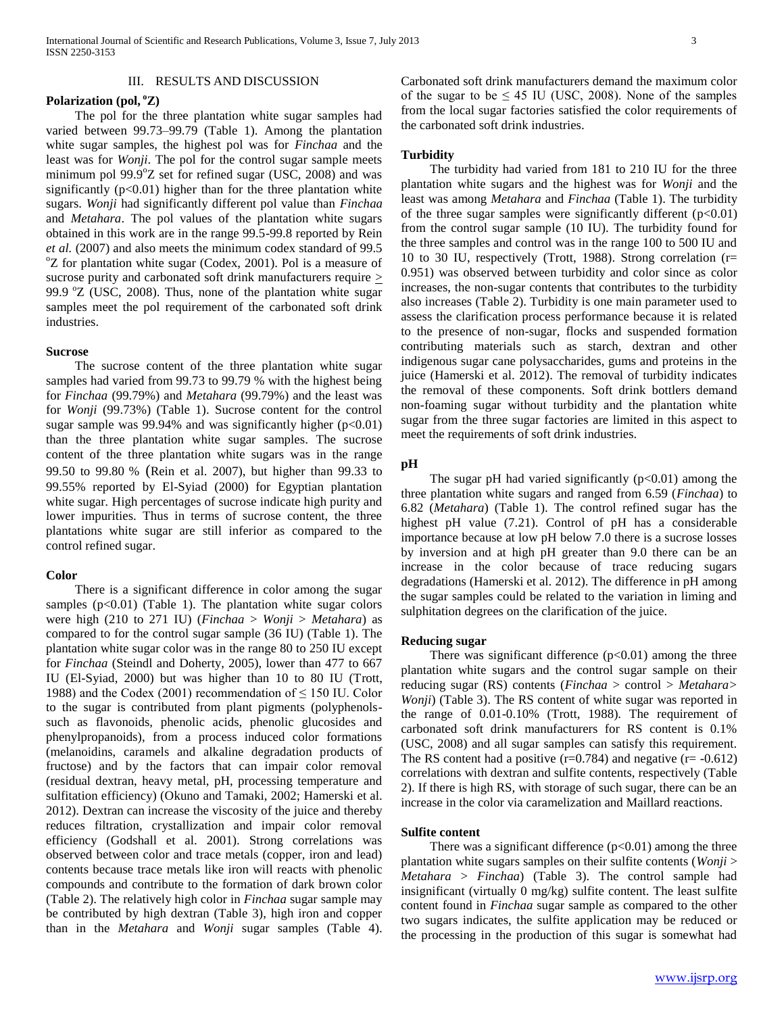#### III. RESULTS AND DISCUSSION

#### **Polarization (pol, <sup>o</sup>Z)**

 The pol for the three plantation white sugar samples had varied between 99.73–99.79 (Table 1). Among the plantation white sugar samples, the highest pol was for *Finchaa* and the least was for *Wonji*. The pol for the control sugar sample meets minimum pol  $99.9^{\circ}Z$  set for refined sugar (USC, 2008) and was significantly  $(p<0.01)$  higher than for the three plantation white sugars. *Wonji* had significantly different pol value than *Finchaa* and *Metahara*. The pol values of the plantation white sugars obtained in this work are in the range 99.5-99.8 reported by Rein *et al.* (2007) and also meets the minimum codex standard of 99.5  $\rm{°Z}$  for plantation white sugar (Codex, 2001). Pol is a measure of sucrose purity and carbonated soft drink manufacturers require  $>$ 99.9  $\degree$ Z (USC, 2008). Thus, none of the plantation white sugar samples meet the pol requirement of the carbonated soft drink industries.

## **Sucrose**

 The sucrose content of the three plantation white sugar samples had varied from 99.73 to 99.79 % with the highest being for *Finchaa* (99.79%) and *Metahara* (99.79%) and the least was for *Wonji* (99.73%) (Table 1). Sucrose content for the control sugar sample was 99.94% and was significantly higher  $(p<0.01)$ than the three plantation white sugar samples. The sucrose content of the three plantation white sugars was in the range 99.50 to 99.80 % (Rein et al. 2007), but higher than 99.33 to 99.55% reported by El-Syiad (2000) for Egyptian plantation white sugar*.* High percentages of sucrose indicate high purity and lower impurities. Thus in terms of sucrose content, the three plantations white sugar are still inferior as compared to the control refined sugar.

#### **Color**

 There is a significant difference in color among the sugar samples  $(p<0.01)$  (Table 1). The plantation white sugar colors were high (210 to 271 IU) (*Finchaa* > *Wonji* > *Metahara*) as compared to for the control sugar sample (36 IU) (Table 1). The plantation white sugar color was in the range 80 to 250 IU except for *Finchaa* (Steindl and Doherty, 2005), lower than 477 to 667 IU (El-Syiad, 2000) but was higher than 10 to 80 IU (Trott, 1988) and the Codex (2001) recommendation of  $\leq$  150 IU. Color to the sugar is contributed from plant pigments (polyphenolssuch as flavonoids, phenolic acids, phenolic glucosides and phenylpropanoids), from a process induced color formations (melanoidins, caramels and alkaline degradation products of fructose) and by the factors that can impair color removal (residual dextran, heavy metal, pH, processing temperature and sulfitation efficiency) (Okuno and Tamaki, 2002; Hamerski et al. 2012). Dextran can increase the viscosity of the juice and thereby reduces filtration, crystallization and impair color removal efficiency (Godshall et al. 2001). Strong correlations was observed between color and trace metals (copper, iron and lead) contents because trace metals like iron will reacts with phenolic compounds and contribute to the formation of dark brown color (Table 2). The relatively high color in *Finchaa* sugar sample may be contributed by high dextran (Table 3), high iron and copper than in the *Metahara* and *Wonji* sugar samples (Table 4).

Carbonated soft drink manufacturers demand the maximum color of the sugar to be  $\leq 45$  IU (USC, 2008). None of the samples from the local sugar factories satisfied the color requirements of the carbonated soft drink industries.

#### **Turbidity**

 The turbidity had varied from 181 to 210 IU for the three plantation white sugars and the highest was for *Wonji* and the least was among *Metahara* and *Finchaa* (Table 1). The turbidity of the three sugar samples were significantly different  $(p<0.01)$ from the control sugar sample (10 IU). The turbidity found for the three samples and control was in the range 100 to 500 IU and 10 to 30 IU, respectively (Trott, 1988). Strong correlation (r= 0.951) was observed between turbidity and color since as color increases, the non-sugar contents that contributes to the turbidity also increases (Table 2). Turbidity is one main parameter used to assess the clarification process performance because it is related to the presence of non-sugar, flocks and suspended formation contributing materials such as starch, dextran and other indigenous sugar cane polysaccharides, gums and proteins in the juice (Hamerski et al. 2012). The removal of turbidity indicates the removal of these components. Soft drink bottlers demand non-foaming sugar without turbidity and the plantation white sugar from the three sugar factories are limited in this aspect to meet the requirements of soft drink industries.

## **pH**

The sugar pH had varied significantly  $(p<0.01)$  among the three plantation white sugars and ranged from 6.59 (*Finchaa*) to 6.82 (*Metahara*) (Table 1). The control refined sugar has the highest pH value (7.21). Control of pH has a considerable importance because at low pH below 7.0 there is a sucrose losses by inversion and at high pH greater than 9.0 there can be an increase in the color because of trace reducing sugars degradations (Hamerski et al. 2012). The difference in pH among the sugar samples could be related to the variation in liming and sulphitation degrees on the clarification of the juice.

# **Reducing sugar**

There was significant difference  $(p<0.01)$  among the three plantation white sugars and the control sugar sample on their reducing sugar (RS) contents (*Finchaa* > control > *Metahara> Wonji*) (Table 3). The RS content of white sugar was reported in the range of 0.01-0.10% (Trott, 1988). The requirement of carbonated soft drink manufacturers for RS content is 0.1% (USC, 2008) and all sugar samples can satisfy this requirement. The RS content had a positive  $(r=0.784)$  and negative  $(r=-0.612)$ correlations with dextran and sulfite contents, respectively (Table 2). If there is high RS, with storage of such sugar, there can be an increase in the color via caramelization and Maillard reactions.

## **Sulfite content**

There was a significant difference  $(p<0.01)$  among the three plantation white sugars samples on their sulfite contents (*Wonji* > *Metahara* > *Finchaa*) (Table 3). The control sample had insignificant (virtually 0 mg/kg) sulfite content. The least sulfite content found in *Finchaa* sugar sample as compared to the other two sugars indicates, the sulfite application may be reduced or the processing in the production of this sugar is somewhat had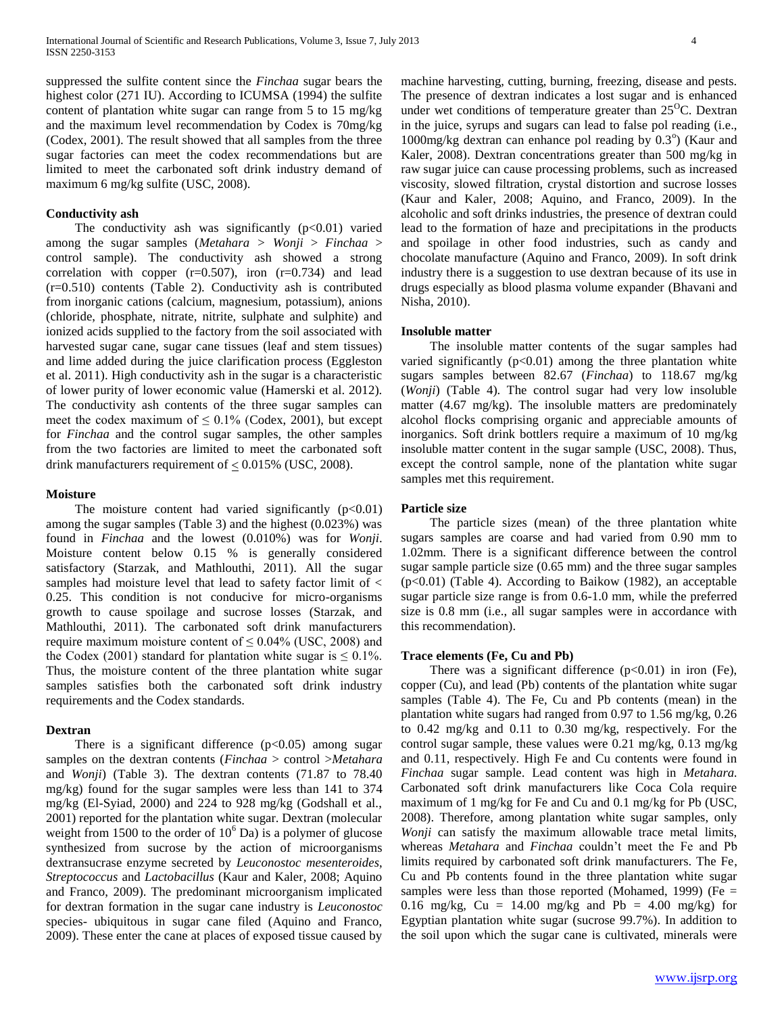suppressed the sulfite content since the *Finchaa* sugar bears the highest color (271 IU). According to ICUMSA (1994) the sulfite content of plantation white sugar can range from 5 to 15 mg/kg and the maximum level recommendation by Codex is 70mg/kg (Codex, 2001). The result showed that all samples from the three sugar factories can meet the codex recommendations but are limited to meet the carbonated soft drink industry demand of maximum 6 mg/kg sulfite (USC, 2008).

## **Conductivity ash**

The conductivity ash was significantly  $(p<0.01)$  varied among the sugar samples (*Metahara > Wonji* > *Finchaa* > control sample). The conductivity ash showed a strong correlation with copper  $(r=0.507)$ , iron  $(r=0.734)$  and lead (r=0.510) contents (Table 2). Conductivity ash is contributed from inorganic cations (calcium, magnesium, potassium), anions (chloride, phosphate, nitrate, nitrite, sulphate and sulphite) and ionized acids supplied to the factory from the soil associated with harvested sugar cane, sugar cane tissues (leaf and stem tissues) and lime added during the juice clarification process (Eggleston et al. 2011). High conductivity ash in the sugar is a characteristic of lower purity of lower economic value (Hamerski et al. 2012). The conductivity ash contents of the three sugar samples can meet the codex maximum of  $\leq 0.1\%$  (Codex, 2001), but except for *Finchaa* and the control sugar samples, the other samples from the two factories are limited to meet the carbonated soft drink manufacturers requirement of  $\leq 0.015\%$  (USC, 2008).

## **Moisture**

The moisture content had varied significantly  $(p<0.01)$ among the sugar samples (Table 3) and the highest (0.023%) was found in *Finchaa* and the lowest (0.010%) was for *Wonji*. Moisture content below 0.15 % is generally considered satisfactory (Starzak, and Mathlouthi, 2011). All the sugar samples had moisture level that lead to safety factor limit of < 0.25. This condition is not conducive for micro-organisms growth to cause spoilage and sucrose losses (Starzak, and Mathlouthi, 2011). The carbonated soft drink manufacturers require maximum moisture content of  $\leq 0.04\%$  (USC, 2008) and the Codex (2001) standard for plantation white sugar is  $\leq 0.1\%$ . Thus, the moisture content of the three plantation white sugar samples satisfies both the carbonated soft drink industry requirements and the Codex standards.

## **Dextran**

There is a significant difference  $(p<0.05)$  among sugar samples on the dextran contents (*Finchaa* > control >*Metahara*  and *Wonji*) (Table 3). The dextran contents (71.87 to 78.40 mg/kg) found for the sugar samples were less than 141 to 374 mg/kg (El-Syiad, 2000) and 224 to 928 mg/kg (Godshall et al., 2001) reported for the plantation white sugar. Dextran (molecular weight from 1500 to the order of  $10^6$  Da) is a polymer of glucose synthesized from sucrose by the action of microorganisms dextransucrase enzyme secreted by *Leuconostoc mesenteroides*, *Streptococcus* and *Lactobacillus* (Kaur and Kaler, 2008; Aquino and Franco, 2009). The predominant microorganism implicated for dextran formation in the sugar cane industry is *Leuconostoc* species- ubiquitous in sugar cane filed (Aquino and Franco, 2009). These enter the cane at places of exposed tissue caused by machine harvesting, cutting, burning, freezing, disease and pests. The presence of dextran indicates a lost sugar and is enhanced under wet conditions of temperature greater than  $25^{\circ}$ C. Dextran in the juice, syrups and sugars can lead to false pol reading (i.e., 1000mg/kg dextran can enhance pol reading by  $0.3^{\circ}$ ) (Kaur and Kaler, 2008). Dextran concentrations greater than 500 mg/kg in raw sugar juice can cause processing problems, such as increased viscosity, slowed filtration, crystal distortion and sucrose losses (Kaur and Kaler, 2008; Aquino, and Franco, 2009). In the alcoholic and soft drinks industries, the presence of dextran could lead to the formation of haze and precipitations in the products and spoilage in other food industries, such as candy and chocolate manufacture (Aquino and Franco, 2009). In soft drink industry there is a suggestion to use dextran because of its use in drugs especially as blood plasma volume expander (Bhavani and Nisha, 2010).

#### **Insoluble matter**

 The insoluble matter contents of the sugar samples had varied significantly  $(p<0.01)$  among the three plantation white sugars samples between 82.67 (*Finchaa*) to 118.67 mg/kg (*Wonji*) (Table 4). The control sugar had very low insoluble matter (4.67 mg/kg). The insoluble matters are predominately alcohol flocks comprising organic and appreciable amounts of inorganics. Soft drink bottlers require a maximum of 10 mg/kg insoluble matter content in the sugar sample (USC, 2008). Thus, except the control sample, none of the plantation white sugar samples met this requirement.

## **Particle size**

 The particle sizes (mean) of the three plantation white sugars samples are coarse and had varied from 0.90 mm to 1.02mm. There is a significant difference between the control sugar sample particle size (0.65 mm) and the three sugar samples (p<0.01) (Table 4). According to Baikow (1982), an acceptable sugar particle size range is from 0.6-1.0 mm, while the preferred size is 0.8 mm (i.e., all sugar samples were in accordance with this recommendation).

#### **Trace elements (Fe, Cu and Pb)**

There was a significant difference  $(p<0.01)$  in iron (Fe), copper (Cu), and lead (Pb) contents of the plantation white sugar samples (Table 4). The Fe, Cu and Pb contents (mean) in the plantation white sugars had ranged from 0.97 to 1.56 mg/kg, 0.26 to 0.42 mg/kg and 0.11 to 0.30 mg/kg, respectively. For the control sugar sample, these values were 0.21 mg/kg, 0.13 mg/kg and 0.11, respectively. High Fe and Cu contents were found in *Finchaa* sugar sample. Lead content was high in *Metahara.* Carbonated soft drink manufacturers like Coca Cola require maximum of 1 mg/kg for Fe and Cu and 0.1 mg/kg for Pb (USC, 2008). Therefore, among plantation white sugar samples, only *Wonji* can satisfy the maximum allowable trace metal limits, whereas *Metahara* and *Finchaa* couldn't meet the Fe and Pb limits required by carbonated soft drink manufacturers. The Fe, Cu and Pb contents found in the three plantation white sugar samples were less than those reported (Mohamed, 1999) (Fe = 0.16 mg/kg,  $Cu = 14.00$  mg/kg and  $Pb = 4.00$  mg/kg) for Egyptian plantation white sugar (sucrose 99.7%). In addition to the soil upon which the sugar cane is cultivated, minerals were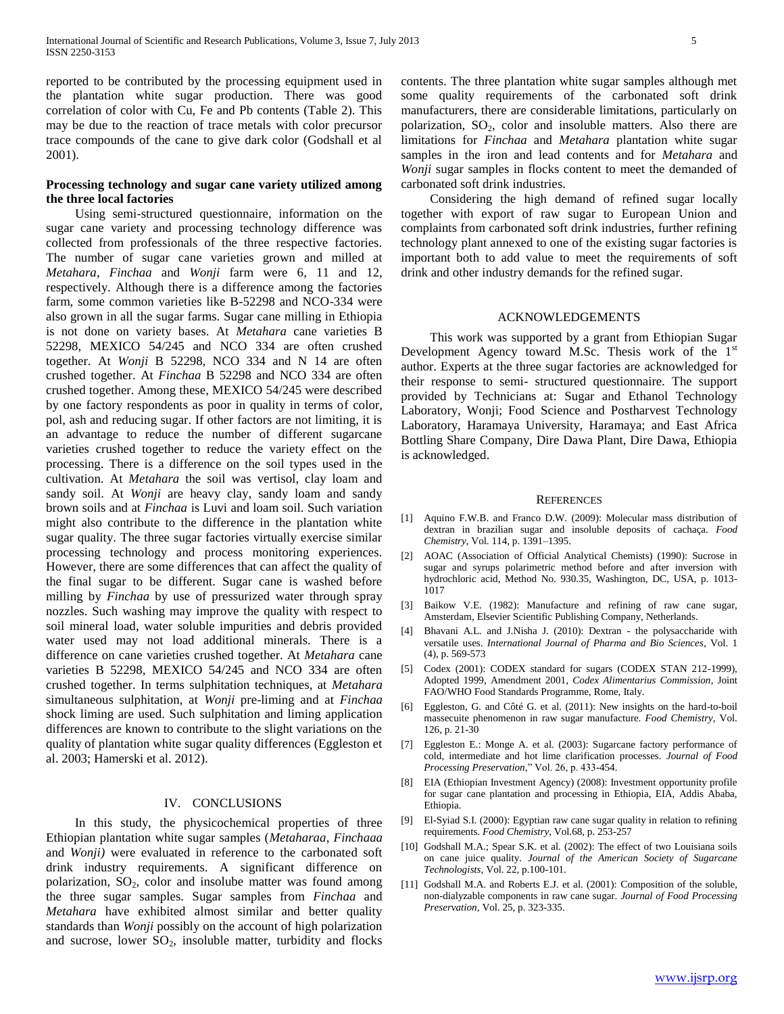reported to be contributed by the processing equipment used in the plantation white sugar production. There was good correlation of color with Cu, Fe and Pb contents (Table 2). This may be due to the reaction of trace metals with color precursor trace compounds of the cane to give dark color (Godshall et al 2001).

## **Processing technology and sugar cane variety utilized among the three local factories**

 Using semi-structured questionnaire, information on the sugar cane variety and processing technology difference was collected from professionals of the three respective factories. The number of sugar cane varieties grown and milled at *Metahara*, *Finchaa* and *Wonji* farm were 6, 11 and 12, respectively. Although there is a difference among the factories farm, some common varieties like B-52298 and NCO-334 were also grown in all the sugar farms. Sugar cane milling in Ethiopia is not done on variety bases. At *Metahara* cane varieties B 52298, MEXICO 54/245 and NCO 334 are often crushed together. At *Wonji* B 52298, NCO 334 and N 14 are often crushed together. At *Finchaa* B 52298 and NCO 334 are often crushed together. Among these, MEXICO 54/245 were described by one factory respondents as poor in quality in terms of color, pol, ash and reducing sugar. If other factors are not limiting, it is an advantage to reduce the number of different sugarcane varieties crushed together to reduce the variety effect on the processing. There is a difference on the soil types used in the cultivation. At *Metahara* the soil was vertisol, clay loam and sandy soil. At *Wonji* are heavy clay, sandy loam and sandy brown soils and at *Finchaa* is Luvi and loam soil. Such variation might also contribute to the difference in the plantation white sugar quality. The three sugar factories virtually exercise similar processing technology and process monitoring experiences. However, there are some differences that can affect the quality of the final sugar to be different. Sugar cane is washed before milling by *Finchaa* by use of pressurized water through spray nozzles. Such washing may improve the quality with respect to soil mineral load, water soluble impurities and debris provided water used may not load additional minerals. There is a difference on cane varieties crushed together. At *Metahara* cane varieties B 52298, MEXICO 54/245 and NCO 334 are often crushed together. In terms sulphitation techniques, at *Metahara* simultaneous sulphitation, at *Wonji* pre-liming and at *Finchaa* shock liming are used. Such sulphitation and liming application differences are known to contribute to the slight variations on the quality of plantation white sugar quality differences (Eggleston et al. 2003; Hamerski et al. 2012).

## IV. CONCLUSIONS

 In this study, the physicochemical properties of three Ethiopian plantation white sugar samples (*Metaharaa*, *Finchaaa* and *Wonji)* were evaluated in reference to the carbonated soft drink industry requirements. A significant difference on polarization,  $SO_2$ , color and insolube matter was found among the three sugar samples. Sugar samples from *Finchaa* and *Metahara* have exhibited almost similar and better quality standards than *Wonji* possibly on the account of high polarization and sucrose, lower  $SO_2$ , insoluble matter, turbidity and flocks contents. The three plantation white sugar samples although met some quality requirements of the carbonated soft drink manufacturers, there are considerable limitations, particularly on polarization,  $SO_2$ , color and insoluble matters. Also there are limitations for *Finchaa* and *Metahara* plantation white sugar samples in the iron and lead contents and for *Metahara* and *Wonji* sugar samples in flocks content to meet the demanded of carbonated soft drink industries.

 Considering the high demand of refined sugar locally together with export of raw sugar to European Union and complaints from carbonated soft drink industries, further refining technology plant annexed to one of the existing sugar factories is important both to add value to meet the requirements of soft drink and other industry demands for the refined sugar.

#### ACKNOWLEDGEMENTS

 This work was supported by a grant from Ethiopian Sugar Development Agency toward M.Sc. Thesis work of the 1st author. Experts at the three sugar factories are acknowledged for their response to semi- structured questionnaire. The support provided by Technicians at: Sugar and Ethanol Technology Laboratory, Wonji; Food Science and Postharvest Technology Laboratory, Haramaya University, Haramaya; and East Africa Bottling Share Company, Dire Dawa Plant, Dire Dawa, Ethiopia is acknowledged.

#### **REFERENCES**

- [1] Aquino F.W.B. and Franco D.W. (2009): Molecular mass distribution of dextran in brazilian sugar and insoluble deposits of cachaça. *Food Chemistry*, Vol. 114, p. 1391–1395.
- [2] AOAC (Association of Official Analytical Chemists) (1990): Sucrose in sugar and syrups polarimetric method before and after inversion with hydrochloric acid, Method No. 930.35, Washington, DC, USA, p. 1013- 1017
- [3] Baikow V.E. (1982): Manufacture and refining of raw cane sugar, Amsterdam, Elsevier Scientific Publishing Company, Netherlands.
- [4] Bhavani A.L. and J.Nisha J. (2010): Dextran the polysaccharide with versatile uses. *International Journal of Pharma and Bio Sciences*, Vol. 1 (4), p. 569-573
- [5] Codex (2001): CODEX standard for sugars (CODEX STAN 212-1999), Adopted 1999, Amendment 2001, *Codex Alimentarius Commission*, Joint FAO/WHO Food Standards Programme, Rome, Italy.
- [6] Eggleston, G. and Côté G. et al. (2011): New insights on the hard-to-boil massecuite phenomenon in raw sugar manufacture. *Food Chemistry*, Vol. 126, p. 21-30
- [7] Eggleston E.: Monge A. et al. (2003): Sugarcane factory performance of cold, intermediate and hot lime clarification processes. *Journal of Food Processing Preservation*," Vol. 26, p. 433-454.
- [8] EIA (Ethiopian Investment Agency) (2008): Investment opportunity profile for sugar cane plantation and processing in Ethiopia, EIA, Addis Ababa, Ethiopia.
- [9] El-Syiad S.I. (2000): Egyptian raw cane sugar quality in relation to refining requirements. *Food Chemistry*, Vol.68, p. 253-257
- [10] Godshall M.A.; Spear S.K. et al. (2002): The effect of two Louisiana soils on cane juice quality. *Journal of the American Society of Sugarcane Technologists*, Vol. 22, p.100-101.
- [11] Godshall M.A. and Roberts E.J. et al. (2001): Composition of the soluble, non-dialyzable components in raw cane sugar. *Journal of Food Processing Preservation*, Vol. 25, p. 323-335.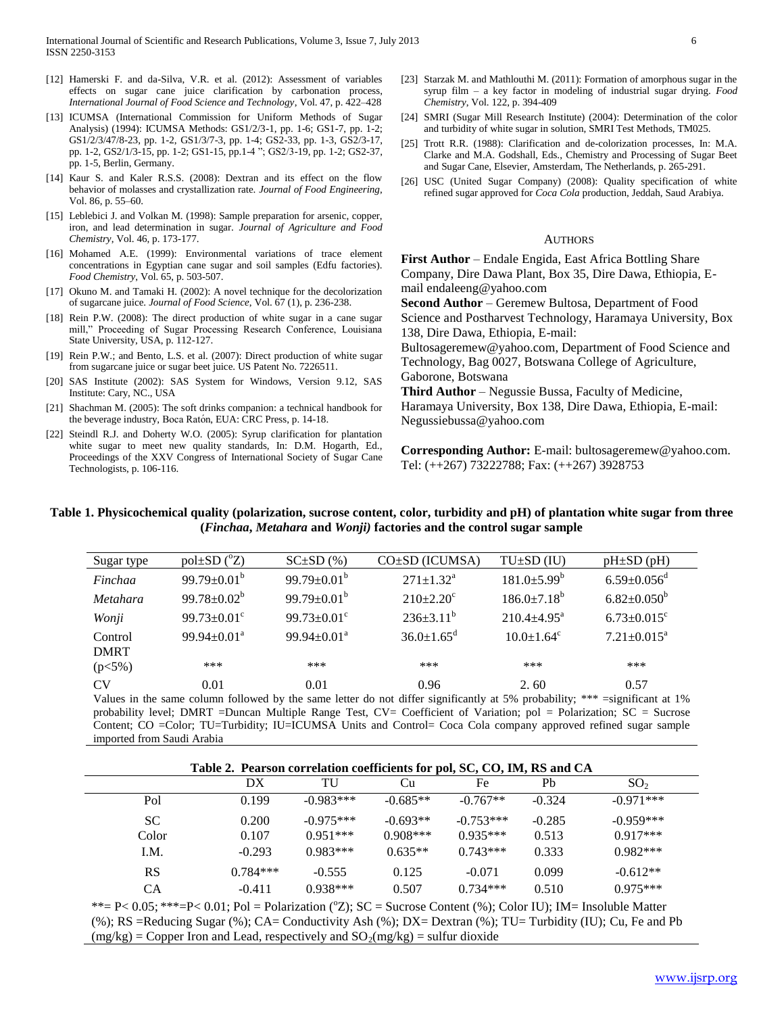- [13] ICUMSA (International Commission for Uniform Methods of Sugar Analysis) (1994): ICUMSA Methods: GS1/2/3-1, pp. 1-6; GS1-7, pp. 1-2; GS1/2/3/47/8-23, pp. 1-2, GS1/3/7-3, pp. 1-4; GS2-33, pp. 1-3, GS2/3-17, pp. 1-2, GS2/1/3-15, pp. 1-2; GS1-15, pp.1-4 "; GS2/3-19, pp. 1-2; GS2-37, pp. 1-5, Berlin, Germany.
- [14] Kaur S. and Kaler R.S.S. (2008): Dextran and its effect on the flow behavior of molasses and crystallization rate. *Journal of Food Engineering*, Vol. 86, p. 55–60.
- [15] Leblebici J. and Volkan M. (1998): Sample preparation for arsenic, copper, iron, and lead determination in sugar. *Journal of Agriculture and Food Chemistry*, Vol. 46, p. 173-177.
- [16] Mohamed A.E. (1999): Environmental variations of trace element concentrations in Egyptian cane sugar and soil samples (Edfu factories). *Food Chemistry*, Vol. 65, p. 503-507.
- [17] Okuno M. and Tamaki H. (2002): A novel technique for the decolorization of sugarcane juice. *Journal of Food Science*, Vol. 67 (1), p. 236-238.
- [18] Rein P.W. (2008): The direct production of white sugar in a cane sugar mill," Proceeding of Sugar Processing Research Conference, Louisiana State University, USA, p. 112-127.
- [19] Rein P.W.; and Bento, L.S. et al. (2007): Direct production of white sugar from sugarcane juice or sugar beet juice. US Patent No. 7226511.
- [20] SAS Institute (2002): SAS System for Windows, Version 9.12, SAS Institute: Cary, NC., USA
- [21] Shachman M. (2005): The soft drinks companion: a technical handbook for the beverage industry, Boca Ratón, EUA: CRC Press, p. 14-18.
- [22] Steindl R.J. and Doherty W.O. (2005): Syrup clarification for plantation white sugar to meet new quality standards, In: D.M. Hogarth, Ed., Proceedings of the XXV Congress of International Society of Sugar Cane Technologists, p. 106-116.
- [23] Starzak M. and Mathlouthi M. (2011): Formation of amorphous sugar in the syrup film – a key factor in modeling of industrial sugar drying. *Food Chemistry*, Vol. 122, p. 394-409
- [24] SMRI (Sugar Mill Research Institute) (2004): Determination of the color and turbidity of white sugar in solution, SMRI Test Methods, TM025.
- [25] Trott R.R. (1988): Clarification and de-colorization processes, In: M.A. Clarke and M.A. Godshall, Eds., Chemistry and Processing of Sugar Beet and Sugar Cane, Elsevier, Amsterdam, The Netherlands, p. 265-291.
- [26] USC (United Sugar Company) (2008): Quality specification of white refined sugar approved for *Coca Cola* production, Jeddah, Saud Arabiya.

#### AUTHORS

**First Author** – Endale Engida, East Africa Bottling Share Company, Dire Dawa Plant, Box 35, Dire Dawa, Ethiopia, Email endaleeng@yahoo.com

**Second Author** – Geremew Bultosa, Department of Food

Science and Postharvest Technology, Haramaya University, Box 138, Dire Dawa, Ethiopia, E-mail:

Bultosageremew@yahoo.com, Department of Food Science and Technology, Bag 0027, Botswana College of Agriculture,

Gaborone, Botswana **Third Author** – Negussie Bussa, Faculty of Medicine,

Haramaya University, Box 138, Dire Dawa, Ethiopia, E-mail: Negussiebussa@yahoo.com

**Corresponding Author:** E-mail: bultosageremew@yahoo.com. Tel: (++267) 73222788; Fax: (++267) 3928753

# **Table 1. Physicochemical quality (polarization, sucrose content, color, turbidity and pH) of plantation white sugar from three (***Finchaa***,** *Metahara* **and** *Wonji)* **factories and the control sugar sample**

| Sugar type                                                                                                                   | $pol \pm SD$ ( ${}^{\circ}Z$ ) | $SC\pm SD$ (%)                | $CO\pm SD$ (ICUMSA)          | $TU \pm SD$ (IU)             | $pH \pm SD(pH)$               |  |
|------------------------------------------------------------------------------------------------------------------------------|--------------------------------|-------------------------------|------------------------------|------------------------------|-------------------------------|--|
| Finchaa                                                                                                                      | 99.79 $\pm$ 0.01 <sup>b</sup>  | 99.79 $\pm$ 0.01 <sup>b</sup> | $271 \pm 1.32^{\text{a}}$    | $181.0 \pm 5.99^b$           | $6.59 \pm 0.056$ <sup>d</sup> |  |
| <i>Metahara</i>                                                                                                              | $99.78 \pm 0.02^b$             | 99.79 $\pm$ 0.01 <sup>b</sup> | $210 \pm 2.20^{\circ}$       | $186.0{\pm}7.18^{\rm b}$     | $6.82 \pm 0.050^b$            |  |
| Wonji                                                                                                                        | 99.73 $\pm$ 0.01 <sup>c</sup>  | 99.73 $\pm$ 0.01 <sup>c</sup> | $236\pm3.11^{b}$             | $210.4 \pm 4.95^{\text{a}}$  | $6.73 \pm 0.015$ <sup>c</sup> |  |
| Control                                                                                                                      | $99.94 \pm 0.01^a$             | $99.94 \pm 0.01^a$            | $36.0 \pm 1.65$ <sup>d</sup> | $10.0 \pm 1.64$ <sup>c</sup> | $7.21 \pm 0.015^a$            |  |
| <b>DMRT</b>                                                                                                                  |                                |                               |                              |                              |                               |  |
| $(p<5\%)$                                                                                                                    | ***                            | ***                           | ***                          | ***                          | ***                           |  |
| CV <sub></sub>                                                                                                               | 0.01                           | 0.01                          | 0.96                         | 2.60                         | 0.57                          |  |
| Volume in the came column followed by the came letter do not differ cientificantly of 50 muchelility: *** -significant of 10 |                                |                               |                              |                              |                               |  |

Values in the same column followed by the same letter do not differ significantly at 5% probability; \*\*\* =significant at 1% probability level; DMRT =Duncan Multiple Range Test, CV= Coefficient of Variation; pol = Polarization; SC = Sucrose Content; CO =Color; TU=Turbidity; IU=ICUMSA Units and Control= Coca Cola company approved refined sugar sample imported from Saudi Arabia

|  | Table 2. Pearson correlation coefficients for pol, SC, CO, IM, RS and CA |  |
|--|--------------------------------------------------------------------------|--|
|--|--------------------------------------------------------------------------|--|

| DX         | TU          | Cu         | Fe          | Ph       | SO <sub>2</sub> |  |
|------------|-------------|------------|-------------|----------|-----------------|--|
| 0.199      | $-0.983***$ | $-0.685**$ | $-0.767**$  | $-0.324$ | $-0.971***$     |  |
| 0.200      | $-0.975***$ | $-0.693**$ | $-0.753***$ | $-0.285$ | $-0.959***$     |  |
| 0.107      | $0.951***$  | $0.908***$ | $0.935***$  | 0.513    | $0.917***$      |  |
| $-0.293$   | $0.983***$  | $0.635**$  | $0.743***$  | 0.333    | $0.982***$      |  |
| $0.784***$ | $-0.555$    | 0.125      | $-0.071$    | 0.099    | $-0.612**$      |  |
| $-0.411$   | $0.938***$  | 0.507      | $0.734***$  | 0.510    | $0.975***$      |  |
|            |             |            |             |          |                 |  |

 $**= P< 0.05; **= P< 0.01; Pol = Polarization (°Z); SC = Success Content (%); Color IU); IM = Insoluble Matter$ (%); RS =Reducing Sugar (%); CA= Conductivity Ash (%); DX= Dextran (%); TU= Turbidity (IU); Cu, Fe and Pb  $(mg/kg)$  = Copper Iron and Lead, respectively and  $SO_2(mg/kg)$  = sulfur dioxide